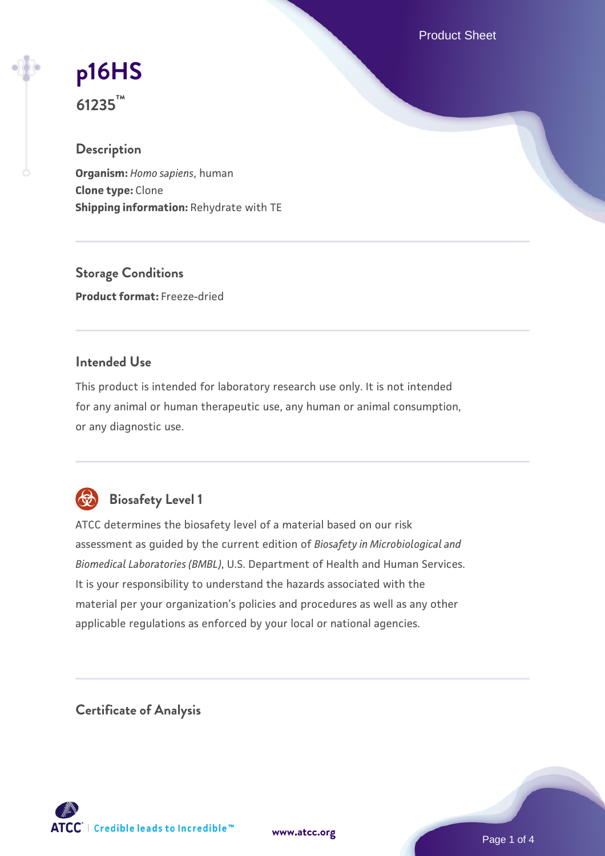Product Sheet

# **[p16HS](https://www.atcc.org/products/61235)**

**61235™**

### **Description**

**Organism:** *Homo sapiens*, human **Clone type:** Clone **Shipping information:** Rehydrate with TE

**Storage Conditions Product format:** Freeze-dried

### **Intended Use**

This product is intended for laboratory research use only. It is not intended for any animal or human therapeutic use, any human or animal consumption, or any diagnostic use.



## **Biosafety Level 1**

ATCC determines the biosafety level of a material based on our risk assessment as guided by the current edition of *Biosafety in Microbiological and Biomedical Laboratories (BMBL)*, U.S. Department of Health and Human Services. It is your responsibility to understand the hazards associated with the material per your organization's policies and procedures as well as any other applicable regulations as enforced by your local or national agencies.

**Certificate of Analysis**

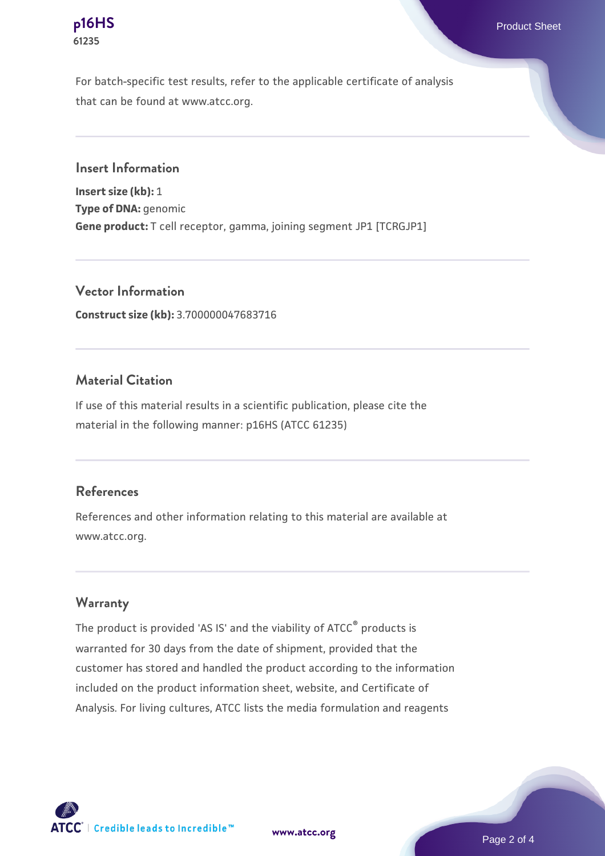# **61235**

For batch-specific test results, refer to the applicable certificate of analysis that can be found at www.atcc.org.

**Insert Information**

**Insert size (kb):** 1 **Type of DNA:** genomic **Gene product:** T cell receptor, gamma, joining segment JP1 [TCRGJP1]

**Vector Information Construct size (kb):** 3.700000047683716

#### **Material Citation**

If use of this material results in a scientific publication, please cite the material in the following manner: p16HS (ATCC 61235)

#### **References**

References and other information relating to this material are available at www.atcc.org.

#### **Warranty**

The product is provided 'AS IS' and the viability of ATCC® products is warranted for 30 days from the date of shipment, provided that the customer has stored and handled the product according to the information included on the product information sheet, website, and Certificate of Analysis. For living cultures, ATCC lists the media formulation and reagents

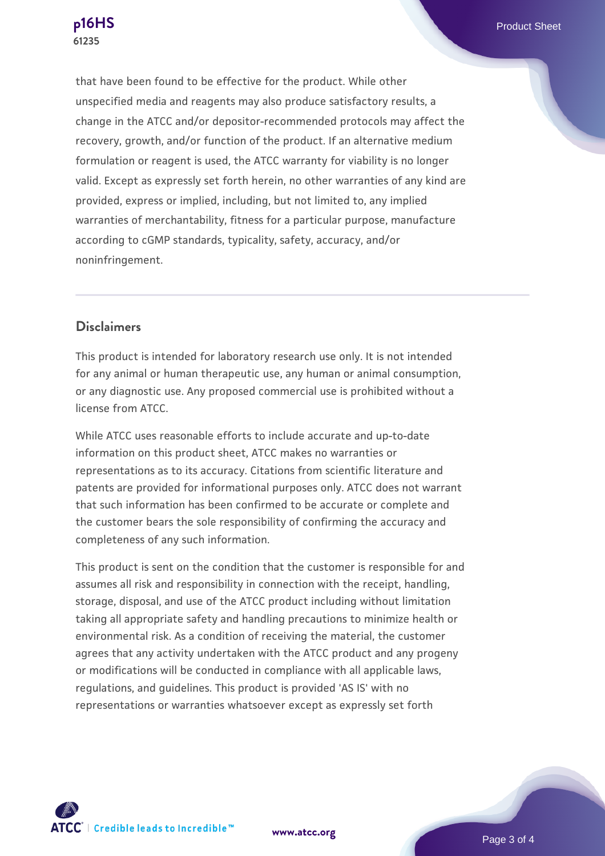that have been found to be effective for the product. While other unspecified media and reagents may also produce satisfactory results, a change in the ATCC and/or depositor-recommended protocols may affect the recovery, growth, and/or function of the product. If an alternative medium formulation or reagent is used, the ATCC warranty for viability is no longer valid. Except as expressly set forth herein, no other warranties of any kind are provided, express or implied, including, but not limited to, any implied warranties of merchantability, fitness for a particular purpose, manufacture according to cGMP standards, typicality, safety, accuracy, and/or noninfringement.

#### **Disclaimers**

This product is intended for laboratory research use only. It is not intended for any animal or human therapeutic use, any human or animal consumption, or any diagnostic use. Any proposed commercial use is prohibited without a license from ATCC.

While ATCC uses reasonable efforts to include accurate and up-to-date information on this product sheet, ATCC makes no warranties or representations as to its accuracy. Citations from scientific literature and patents are provided for informational purposes only. ATCC does not warrant that such information has been confirmed to be accurate or complete and the customer bears the sole responsibility of confirming the accuracy and completeness of any such information.

This product is sent on the condition that the customer is responsible for and assumes all risk and responsibility in connection with the receipt, handling, storage, disposal, and use of the ATCC product including without limitation taking all appropriate safety and handling precautions to minimize health or environmental risk. As a condition of receiving the material, the customer agrees that any activity undertaken with the ATCC product and any progeny or modifications will be conducted in compliance with all applicable laws, regulations, and guidelines. This product is provided 'AS IS' with no representations or warranties whatsoever except as expressly set forth